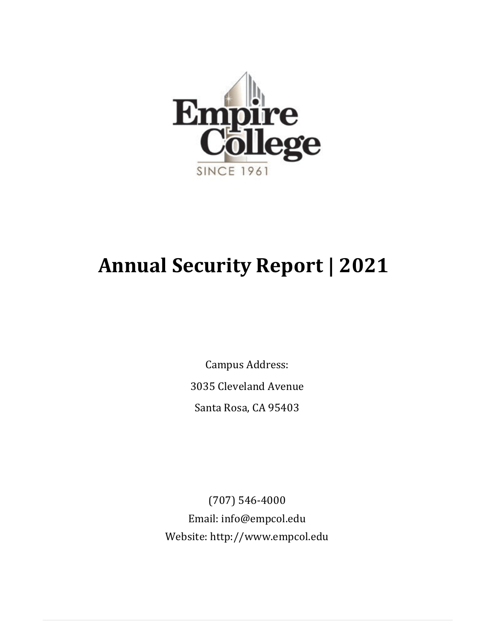

# **Annual Security Report | 2021**

Campus Address: 3035 Cleveland Avenue Santa Rosa, CA 95403

(707) 546-4000 Email: [info@empcol.edu](mailto:info@empcol.edu) Website: http://www.empcol.edu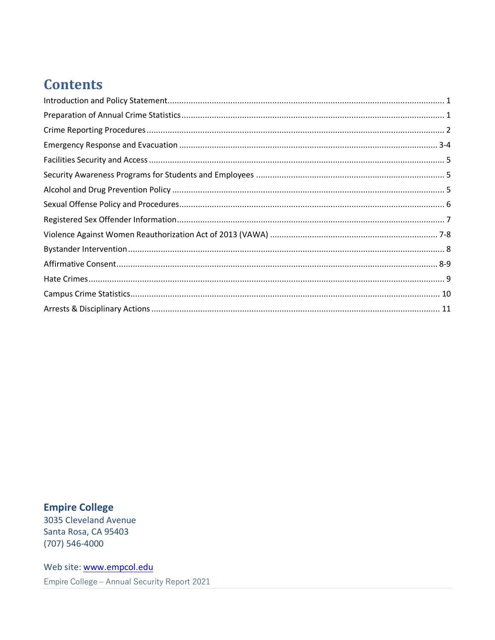## **Contents**

**Empire College** 3035 Cleveland Avenue Santa Rosa, CA 95403  $(707) 546 - 4000$ 

Web site: www.empcol.edu Empire College - Annual Security Report 2021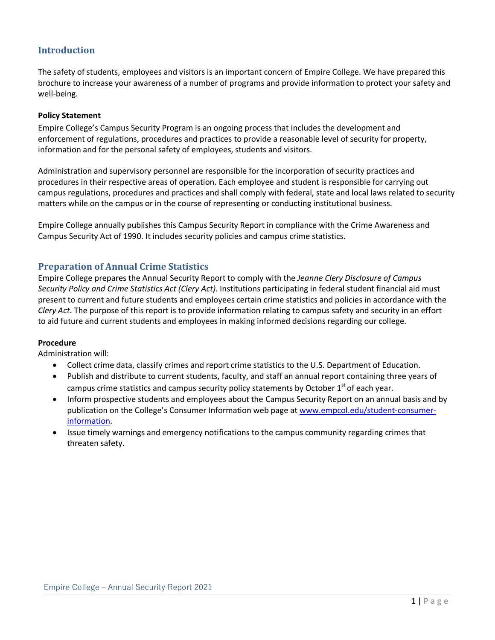#### <span id="page-2-0"></span>**Introduction**

The safety of students, employees and visitors is an important concern of Empire College. We have prepared this brochure to increase your awareness of a number of programs and provide information to protect your safety and well-being.

#### **Policy Statement**

Empire College's Campus Security Program is an ongoing process that includes the development and enforcement of regulations, procedures and practices to provide a reasonable level of security for property, information and for the personal safety of employees, students and visitors.

Administration and supervisory personnel are responsible for the incorporation of security practices and procedures in their respective areas of operation. Each employee and student is responsible for carrying out campus regulations, procedures and practices and shall comply with federal, state and local laws related to security matters while on the campus or in the course of representing or conducting institutional business.

Empire College annually publishes this Campus Security Report in compliance with the Crime Awareness and Campus Security Act of 1990. It includes security policies and campus crime statistics.

#### **Preparation of Annual Crime Statistics**

Empire College prepares the Annual Security Report to comply with the *Jeanne Clery Disclosure of Campus Security Policy and Crime Statistics Act (Clery Act)*. Institutions participating in federal student financial aid must present to current and future students and employees certain crime statistics and policies in accordance with the *Clery Act*. The purpose of this report is to provide information relating to campus safety and security in an effort to aid future and current students and employees in making informed decisions regarding our college.

#### **Procedure**

Administration will:

- Collect crime data, classify crimes and report crime statistics to the U.S. Department of Education.
- Publish and distribute to current students, faculty, and staff an annual report containing three years of campus crime statistics and campus security policy statements by October  $1<sup>st</sup>$  of each year.
- Inform prospective students and employees about the Campus Security Report on an annual basis and by publication on the College's Consumer Information web page a[t www.empcol.edu/student-consumer](http://www.empcol.edu/student-consumer-information)[information.](http://www.empcol.edu/student-consumer-information)
- <span id="page-2-1"></span>• Issue timely warnings and emergency notifications to the campus community regarding crimes that threaten safety.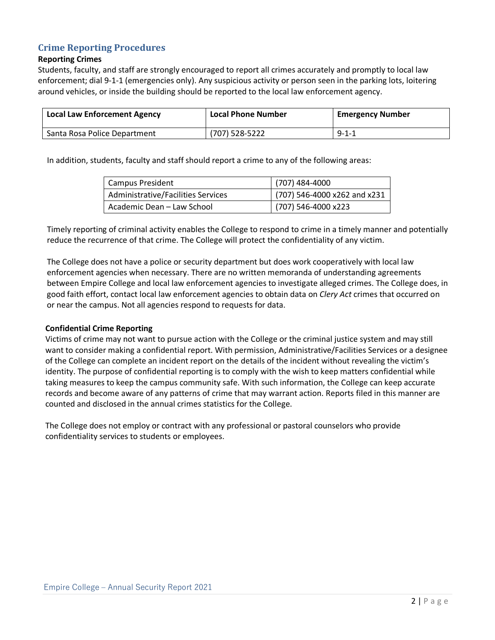#### **Crime Reporting Procedures**

#### **Reporting Crimes**

Students, faculty, and staff are strongly encouraged to report all crimes accurately and promptly to local law enforcement; dial 9-1-1 (emergencies only). Any suspicious activity or person seen in the parking lots, loitering around vehicles, or inside the building should be reported to the local law enforcement agency.

| <b>Local Law Enforcement Agency</b> | <b>Local Phone Number</b> | <b>Emergency Number</b> |  |
|-------------------------------------|---------------------------|-------------------------|--|
| Santa Rosa Police Department        | (707) 528-5222            | $9 - 1 - 1$             |  |

In addition, students, faculty and staff should report a crime to any of the following areas:

| Campus President                   | $(707)$ 484-4000               |
|------------------------------------|--------------------------------|
| Administrative/Facilities Services | $(707)$ 546-4000 x262 and x231 |
| Academic Dean - Law School         | $(707)$ 546-4000 x223          |

Timely reporting of criminal activity enables the College to respond to crime in a timely manner and potentially reduce the recurrence of that crime. The College will protect the confidentiality of any victim.

The College does not have a police or security department but does work cooperatively with local law enforcement agencies when necessary. There are no written memoranda of understanding agreements between Empire College and local law enforcement agencies to investigate alleged crimes. The College does, in good faith effort, contact local law enforcement agencies to obtain data on *Clery Act* crimes that occurred on or near the campus. Not all agencies respond to requests for data.

#### **Confidential Crime Reporting**

Victims of crime may not want to pursue action with the College or the criminal justice system and may still want to consider making a confidential report. With permission, Administrative/Facilities Services or a designee of the College can complete an incident report on the details of the incident without revealing the victim's identity. The purpose of confidential reporting is to comply with the wish to keep matters confidential while taking measures to keep the campus community safe. With such information, the College can keep accurate records and become aware of any patterns of crime that may warrant action. Reports filed in this manner are counted and disclosed in the annual crimes statistics for the College.

<span id="page-3-0"></span>The College does not employ or contract with any professional or pastoral counselors who provide confidentiality services to students or employees.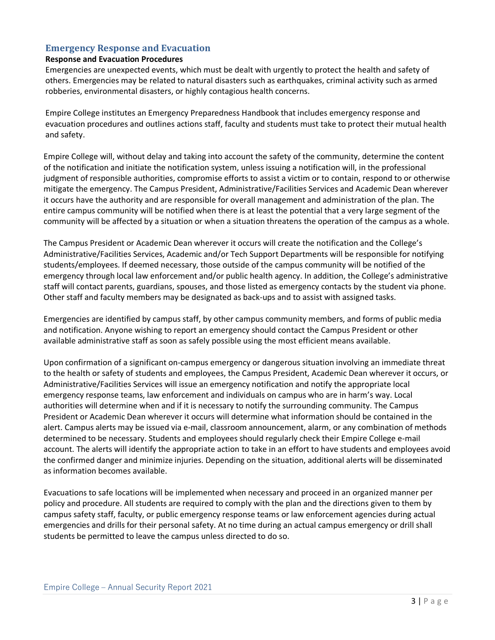#### **Emergency Response and Evacuation**

#### **Response and Evacuation Procedures**

Emergencies are unexpected events, which must be dealt with urgently to protect the health and safety of others. Emergencies may be related to natural disasters such as earthquakes, criminal activity such as armed robberies, environmental disasters, or highly contagious health concerns.

Empire College institutes an Emergency Preparedness Handbook that includes emergency response and evacuation procedures and outlines actions staff, faculty and students must take to protect their mutual health and safety.

Empire College will, without delay and taking into account the safety of the community, determine the content of the notification and initiate the notification system, unless issuing a notification will, in the professional judgment of responsible authorities, compromise efforts to assist a victim or to contain, respond to or otherwise mitigate the emergency. The Campus President, Administrative/Facilities Services and Academic Dean wherever it occurs have the authority and are responsible for overall management and administration of the plan. The entire campus community will be notified when there is at least the potential that a very large segment of the community will be affected by a situation or when a situation threatens the operation of the campus as a whole.

The Campus President or Academic Dean wherever it occurs will create the notification and the College's Administrative/Facilities Services, Academic and/or Tech Support Departments will be responsible for notifying students/employees. If deemed necessary, those outside of the campus community will be notified of the emergency through local law enforcement and/or public health agency. In addition, the College's administrative staff will contact parents, guardians, spouses, and those listed as emergency contacts by the student via phone. Other staff and faculty members may be designated as back-ups and to assist with assigned tasks.

Emergencies are identified by campus staff, by other campus community members, and forms of public media and notification. Anyone wishing to report an emergency should contact the Campus President or other available administrative staff as soon as safely possible using the most efficient means available.

Upon confirmation of a significant on-campus emergency or dangerous situation involving an immediate threat to the health or safety of students and employees, the Campus President, Academic Dean wherever it occurs, or Administrative/Facilities Services will issue an emergency notification and notify the appropriate local emergency response teams, law enforcement and individuals on campus who are in harm's way. Local authorities will determine when and if it is necessary to notify the surrounding community. The Campus President or Academic Dean wherever it occurs will determine what information should be contained in the alert. Campus alerts may be issued via e-mail, classroom announcement, alarm, or any combination of methods determined to be necessary. Students and employees should regularly check their Empire College e-mail account. The alerts will identify the appropriate action to take in an effort to have students and employees avoid the confirmed danger and minimize injuries. Depending on the situation, additional alerts will be disseminated as information becomes available.

Evacuations to safe locations will be implemented when necessary and proceed in an organized manner per policy and procedure. All students are required to comply with the plan and the directions given to them by campus safety staff, faculty, or public emergency response teams or law enforcement agencies during actual emergencies and drills for their personal safety. At no time during an actual campus emergency or drill shall students be permitted to leave the campus unless directed to do so.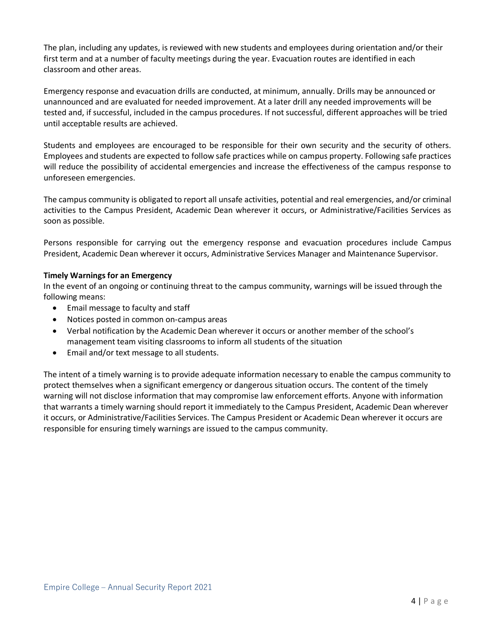The plan, including any updates, is reviewed with new students and employees during orientation and/or their first term and at a number of faculty meetings during the year. Evacuation routes are identified in each classroom and other areas.

Emergency response and evacuation drills are conducted, at minimum, annually. Drills may be announced or unannounced and are evaluated for needed improvement. At a later drill any needed improvements will be tested and, if successful, included in the campus procedures. If not successful, different approaches will be tried until acceptable results are achieved.

Students and employees are encouraged to be responsible for their own security and the security of others. Employees and students are expected to follow safe practices while on campus property. Following safe practices will reduce the possibility of accidental emergencies and increase the effectiveness of the campus response to unforeseen emergencies.

The campus community is obligated to report all unsafe activities, potential and real emergencies, and/or criminal activities to the Campus President, Academic Dean wherever it occurs, or Administrative/Facilities Services as soon as possible.

Persons responsible for carrying out the emergency response and evacuation procedures include Campus President, Academic Dean wherever it occurs, Administrative Services Manager and Maintenance Supervisor.

#### **Timely Warnings for an Emergency**

In the event of an ongoing or continuing threat to the campus community, warnings will be issued through the following means:

- Email message to faculty and staff
- Notices posted in common on-campus areas
- Verbal notification by the Academic Dean wherever it occurs or another member of the school's management team visiting classrooms to inform all students of the situation
- Email and/or text message to all students.

The intent of a timely warning is to provide adequate information necessary to enable the campus community to protect themselves when a significant emergency or dangerous situation occurs. The content of the timely warning will not disclose information that may compromise law enforcement efforts. Anyone with information that warrants a timely warning should report it immediately to the Campus President, Academic Dean wherever it occurs, or Administrative/Facilities Services. The Campus President or Academic Dean wherever it occurs are responsible for ensuring timely warnings are issued to the campus community.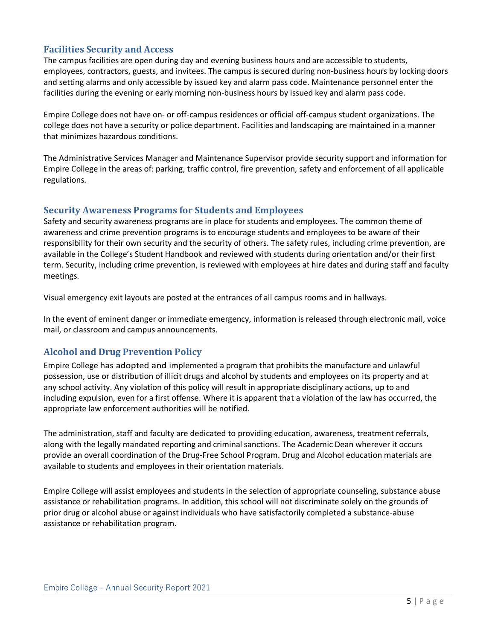#### <span id="page-6-0"></span>**Facilities Security and Access**

The campus facilities are open during day and evening business hours and are accessible to students, employees, contractors, guests, and invitees. The campus is secured during non-business hours by locking doors and setting alarms and only accessible by issued key and alarm pass code. Maintenance personnel enter the facilities during the evening or early morning non-business hours by issued key and alarm pass code.

Empire College does not have on- or off-campus residences or official off-campus student organizations. The college does not have a security or police department. Facilities and landscaping are maintained in a manner that minimizes hazardous conditions.

The Administrative Services Manager and Maintenance Supervisor provide security support and information for Empire College in the areas of: parking, traffic control, fire prevention, safety and enforcement of all applicable regulations.

#### <span id="page-6-1"></span>**Security Awareness Programs for Students and Employees**

Safety and security awareness programs are in place for students and employees. The common theme of awareness and crime prevention programs is to encourage students and employees to be aware of their responsibility for their own security and the security of others. The safety rules, including crime prevention, are available in the College's Student Handbook and reviewed with students during orientation and/or their first term. Security, including crime prevention, is reviewed with employees at hire dates and during staff and faculty meetings.

Visual emergency exit layouts are posted at the entrances of all campus rooms and in hallways.

In the event of eminent danger or immediate emergency, information is released through electronic mail, voice mail, or classroom and campus announcements.

#### <span id="page-6-2"></span>**Alcohol and Drug Prevention Policy**

Empire College has adopted and implemented a program that prohibits the manufacture and unlawful possession, use or distribution of illicit drugs and alcohol by students and employees on its property and at any school activity. Any violation of this policy will result in appropriate disciplinary actions, up to and including expulsion, even for a first offense. Where it is apparent that a violation of the law has occurred, the appropriate law enforcement authorities will be notified.

The administration, staff and faculty are dedicated to providing education, awareness, treatment referrals, along with the legally mandated reporting and criminal sanctions. The Academic Dean wherever it occurs provide an overall coordination of the Drug-Free School Program. Drug and Alcohol education materials are available to students and employees in their orientation materials.

Empire College will assist employees and students in the selection of appropriate counseling, substance abuse assistance or rehabilitation programs. In addition, this school will not discriminate solely on the grounds of prior drug or alcohol abuse or against individuals who have satisfactorily completed a substance-abuse assistance or rehabilitation program.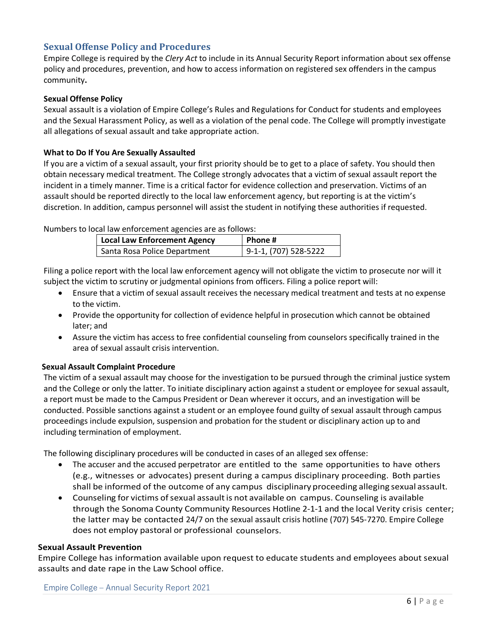#### <span id="page-7-0"></span>**Sexual Offense Policy and Procedures**

Empire College is required by the *Clery Act* to include in its Annual Security Report information about sex offense policy and procedures, prevention, and how to access information on registered sex offenders in the campus community**.** 

#### **Sexual Offense Policy**

Sexual assault is a violation of Empire College's Rules and Regulations for Conduct for students and employees and the Sexual Harassment Policy, as well as a violation of the penal code. The College will promptly investigate all allegations of sexual assault and take appropriate action.

#### **What to Do If You Are Sexually Assaulted**

If you are a victim of a sexual assault, your first priority should be to get to a place of safety. You should then obtain necessary medical treatment. The College strongly advocates that a victim of sexual assault report the incident in a timely manner. Time is a critical factor for evidence collection and preservation. Victims of an assault should be reported directly to the local law enforcement agency, but reporting is at the victim's discretion. In addition, campus personnel will assist the student in notifying these authorities if requested.

Numbers to local law enforcement agencies are as follows:

| Local Law Enforcement Agency | Phone#                  |
|------------------------------|-------------------------|
| Santa Rosa Police Department | $9-1-1, (707) 528-5222$ |

Filing a police report with the local law enforcement agency will not obligate the victim to prosecute nor will it subject the victim to scrutiny or judgmental opinions from officers. Filing a police report will:

- Ensure that a victim of sexual assault receives the necessary medical treatment and tests at no expense to the victim.
- Provide the opportunity for collection of evidence helpful in prosecution which cannot be obtained later; and
- Assure the victim has access to free confidential counseling from counselors specifically trained in the area of sexual assault crisis intervention.

#### **Sexual Assault Complaint Procedure**

The victim of a sexual assault may choose for the investigation to be pursued through the criminal justice system and the College or only the latter. To initiate disciplinary action against a student or employee for sexual assault, a report must be made to the Campus President or Dean wherever it occurs, and an investigation will be conducted. Possible sanctions against a student or an employee found guilty of sexual assault through campus proceedings include expulsion, suspension and probation for the student or disciplinary action up to and including termination of employment.

The following disciplinary procedures will be conducted in cases of an alleged sex offense:

- The accuser and the accused perpetrator are entitled to the same opportunities to have others (e.g., witnesses or advocates) present during a campus disciplinary proceeding. Both parties shall be informed of the outcome of any campus disciplinary proceeding alleging sexual assault.
- Counseling for victims of sexual assault is not available on campus. Counseling is available through the Sonoma County Community Resources Hotline 2-1-1 and the local Verity crisis center; the latter may be contacted 24/7 on the sexual assault crisis hotline (707) 545-7270. Empire College does not employ pastoral or professional counselors.

#### **Sexual Assault Prevention**

Empire College has information available upon request to educate students and employees about sexual assaults and date rape in the Law School office.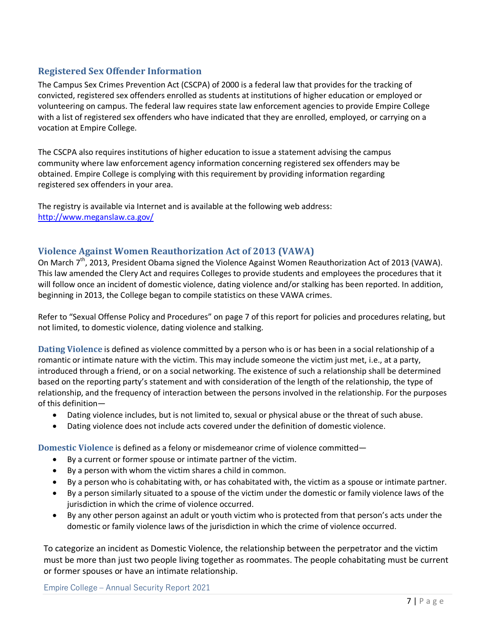#### **Registered Sex Offender Information**

The Campus Sex Crimes Prevention Act (CSCPA) of 2000 is a federal law that provides for the tracking of convicted, registered sex offenders enrolled as students at institutions of higher education or employed or volunteering on campus. The federal law requires state law enforcement agencies to provide Empire College with a list of registered sex offenders who have indicated that they are enrolled, employed, or carrying on a vocation at Empire College.

The CSCPA also requires institutions of higher education to issue a statement advising the campus community where law enforcement agency information concerning registered sex offenders may be obtained. Empire College is complying with this requirement by providing information regarding registered sex offenders in your area.

The registry is available via Internet and is available at the following web address: <http://www.meganslaw.ca.gov/>

#### <span id="page-8-0"></span>**Violence Against Women Reauthorization Act of 2013 (VAWA)**

On March 7<sup>th</sup>, 2013, President Obama signed the Violence Against Women Reauthorization Act of 2013 (VAWA). This law amended the Clery Act and requires Colleges to provide students and employees the procedures that it will follow once an incident of domestic violence, dating violence and/or stalking has been reported. In addition, beginning in 2013, the College began to compile statistics on these VAWA crimes.

Refer to "Sexual Offense Policy and Procedures" on page 7 of this report for policies and procedures relating, but not limited, to domestic violence, dating violence and stalking.

**Dating Violence** is defined as violence committed by a person who is or has been in a social relationship of a romantic or intimate nature with the victim. This may include someone the victim just met, i.e., at a party, introduced through a friend, or on a social networking. The existence of such a relationship shall be determined based on the reporting party's statement and with consideration of the length of the relationship, the type of relationship, and the frequency of interaction between the persons involved in the relationship. For the purposes of this definition—

- Dating violence includes, but is not limited to, sexual or physical abuse or the threat of such abuse.
- Dating violence does not include acts covered under the definition of domestic violence.

**Domestic Violence** is defined as a felony or misdemeanor crime of violence committed—

- By a current or former spouse or intimate partner of the victim.
- By a person with whom the victim shares a child in common.
- By a person who is cohabitating with, or has cohabitated with, the victim as a spouse or intimate partner.
- By a person similarly situated to a spouse of the victim under the domestic or family violence laws of the jurisdiction in which the crime of violence occurred.
- By any other person against an adult or youth victim who is protected from that person's acts under the domestic or family violence laws of the jurisdiction in which the crime of violence occurred.

To categorize an incident as Domestic Violence, the relationship between the perpetrator and the victim must be more than just two people living together as roommates. The people cohabitating must be current or former spouses or have an intimate relationship.

Empire College – Annual Security Report 2021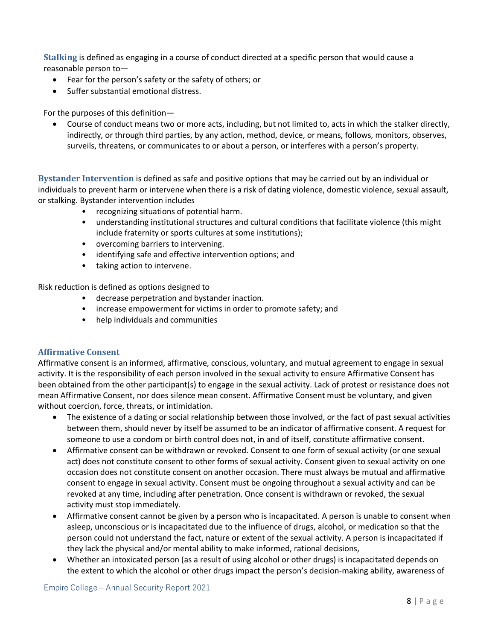**Stalking** is defined as engaging in a course of conduct directed at a specific person that would cause a reasonable person to—

- Fear for the person's safety or the safety of others; or
- Suffer substantial emotional distress.

For the purposes of this definition—

• Course of conduct means two or more acts, including, but not limited to, acts in which the stalker directly, indirectly, or through third parties, by any action, method, device, or means, follows, monitors, observes, surveils, threatens, or communicates to or about a person, or interferes with a person's property.

**Bystander Intervention** is defined as safe and positive options that may be carried out by an individual or individuals to prevent harm or intervene when there is a risk of dating violence, domestic violence, sexual assault, or stalking. Bystander intervention includes

- recognizing situations of potential harm.
- understanding institutional structures and cultural conditions that facilitate violence (this might include fraternity or sports cultures at some institutions);
- overcoming barriers to intervening.
- identifying safe and effective intervention options; and
- taking action to intervene.

Risk reduction is defined as options designed to

- decrease perpetration and bystander inaction.
- increase empowerment for victims in order to promote safety; and
- help individuals and communities

#### **Affirmative Consent**

Affirmative consent is an informed, affirmative, conscious, voluntary, and mutual agreement to engage in sexual activity. It is the responsibility of each person involved in the sexual activity to ensure Affirmative Consent has been obtained from the other participant(s) to engage in the sexual activity. Lack of protest or resistance does not mean Affirmative Consent, nor does silence mean consent. Affirmative Consent must be voluntary, and given without coercion, force, threats, or intimidation.

- The existence of a dating or social relationship between those involved, or the fact of past sexual activities between them, should never by itself be assumed to be an indicator of affirmative consent. A request for someone to use a condom or birth control does not, in and of itself, constitute affirmative consent.
- Affirmative consent can be withdrawn or revoked. Consent to one form of sexual activity (or one sexual act) does not constitute consent to other forms of sexual activity. Consent given to sexual activity on one occasion does not constitute consent on another occasion. There must always be mutual and affirmative consent to engage in sexual activity. Consent must be ongoing throughout a sexual activity and can be revoked at any time, including after penetration. Once consent is withdrawn or revoked, the sexual activity must stop immediately.
- Affirmative consent cannot be given by a person who is incapacitated. A person is unable to consent when asleep, unconscious or is incapacitated due to the influence of drugs, alcohol, or medication so that the person could not understand the fact, nature or extent of the sexual activity. A person is incapacitated if they lack the physical and/or mental ability to make informed, rational decisions,
- Whether an intoxicated person (as a result of using alcohol or other drugs) is incapacitated depends on the extent to which the alcohol or other drugs impact the person's decision-making ability, awareness of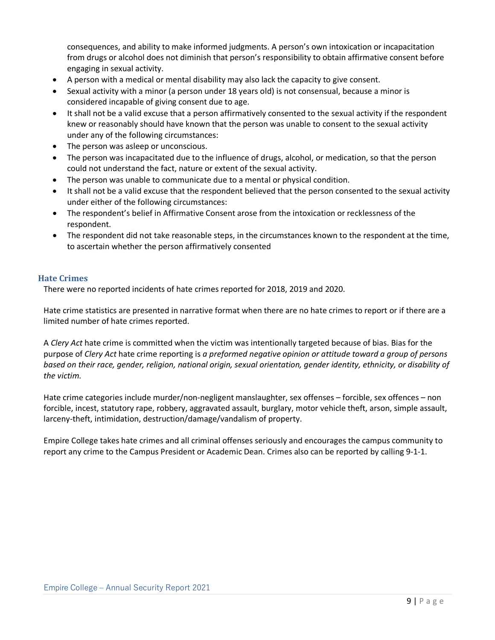consequences, and ability to make informed judgments. A person's own intoxication or incapacitation from drugs or alcohol does not diminish that person's responsibility to obtain affirmative consent before engaging in sexual activity.

- A person with a medical or mental disability may also lack the capacity to give consent.
- Sexual activity with a minor (a person under 18 years old) is not consensual, because a minor is considered incapable of giving consent due to age.
- It shall not be a valid excuse that a person affirmatively consented to the sexual activity if the respondent knew or reasonably should have known that the person was unable to consent to the sexual activity under any of the following circumstances:
- The person was asleep or unconscious.
- The person was incapacitated due to the influence of drugs, alcohol, or medication, so that the person could not understand the fact, nature or extent of the sexual activity.
- The person was unable to communicate due to a mental or physical condition.
- It shall not be a valid excuse that the respondent believed that the person consented to the sexual activity under either of the following circumstances:
- The respondent's belief in Affirmative Consent arose from the intoxication or recklessness of the respondent.
- The respondent did not take reasonable steps, in the circumstances known to the respondent at the time, to ascertain whether the person affirmatively consented

#### <span id="page-10-0"></span>**Hate Crimes**

There were no reported incidents of hate crimes reported for 2018, 2019 and 2020.

Hate crime statistics are presented in narrative format when there are no hate crimes to report or if there are a limited number of hate crimes reported.

A *Clery Act* hate crime is committed when the victim was intentionally targeted because of bias. Bias for the purpose of *Clery Act* hate crime reporting is *a preformed negative opinion or attitude toward a group of persons based on their race, gender, religion, national origin, sexual orientation, gender identity, ethnicity, or disability of the victim.*

Hate crime categories include murder/non-negligent manslaughter, sex offenses – forcible, sex offences – non forcible, incest, statutory rape, robbery, aggravated assault, burglary, motor vehicle theft, arson, simple assault, larceny-theft, intimidation, destruction/damage/vandalism of property.

Empire College takes hate crimes and all criminal offenses seriously and encourages the campus community to report any crime to the Campus President or Academic Dean. Crimes also can be reported by calling 9-1-1.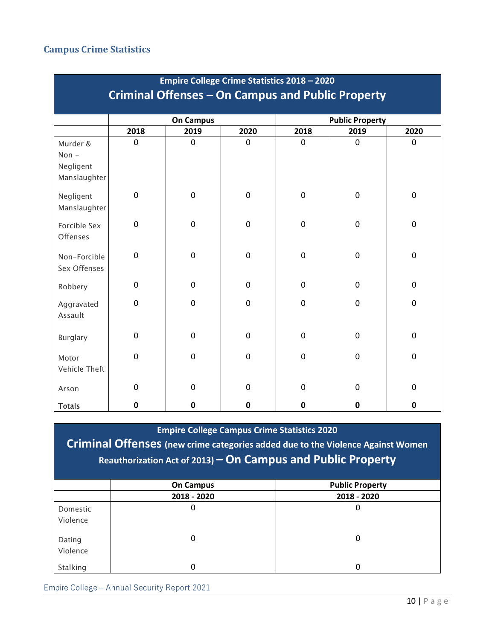#### **Campus Crime Statistics**

| <b>Empire College Crime Statistics 2018 - 2020</b> |             |                  |             |                        |             |             |  |
|----------------------------------------------------|-------------|------------------|-------------|------------------------|-------------|-------------|--|
| Criminal Offenses - On Campus and Public Property  |             |                  |             |                        |             |             |  |
|                                                    |             | <b>On Campus</b> |             | <b>Public Property</b> |             |             |  |
|                                                    | 2018        | 2019             | 2020        | 2018                   | 2019        | 2020        |  |
| Murder &<br>Non $-$<br>Negligent<br>Manslaughter   | $\mathbf 0$ | 0                | 0           | 0                      | $\mathbf 0$ | 0           |  |
| Negligent<br>Manslaughter                          | $\mathbf 0$ | 0                | $\mathbf 0$ | 0                      | $\mathbf 0$ | 0           |  |
| Forcible Sex<br>Offenses                           | $\mathbf 0$ | $\mathbf 0$      | $\mathbf 0$ | 0                      | $\mathbf 0$ | 0           |  |
| Non-Forcible<br>Sex Offenses                       | $\mathbf 0$ | $\mathbf 0$      | $\mathbf 0$ | 0                      | $\pmb{0}$   | $\mathbf 0$ |  |
| Robbery                                            | 0           | 0                | $\mathbf 0$ | 0                      | $\mathbf 0$ | 0           |  |
| Aggravated<br>Assault                              | $\mathbf 0$ | 0                | $\mathbf 0$ | 0                      | $\mathbf 0$ | $\mathbf 0$ |  |
| <b>Burglary</b>                                    | 0           | 0                | $\mathbf 0$ | 0                      | 0           | 0           |  |
| Motor<br>Vehicle Theft                             | $\mathbf 0$ | 0                | $\mathbf 0$ | $\pmb{0}$              | $\mathbf 0$ | 0           |  |
| Arson                                              | $\pmb{0}$   | 0                | $\mathbf 0$ | 0                      | $\mathbf 0$ | 0           |  |
| <b>Totals</b>                                      | 0           | 0                | 0           | 0                      | $\mathbf 0$ | $\mathbf 0$ |  |

**Empire College Campus Crime Statistics 2020**

**Criminal Offenses (new crime categories added due to the Violence Against Women Reauthorization Act of 2013) – On Campus and Public Property**

|                    | <b>On Campus</b> | <b>Public Property</b> |
|--------------------|------------------|------------------------|
|                    | 2018 - 2020      | 2018 - 2020            |
| Domestic           | 0                | 0                      |
| Violence           |                  |                        |
| Dating<br>Violence | 0                | 0                      |
| Stalking           | 0                |                        |

Empire College – Annual Security Report 2021